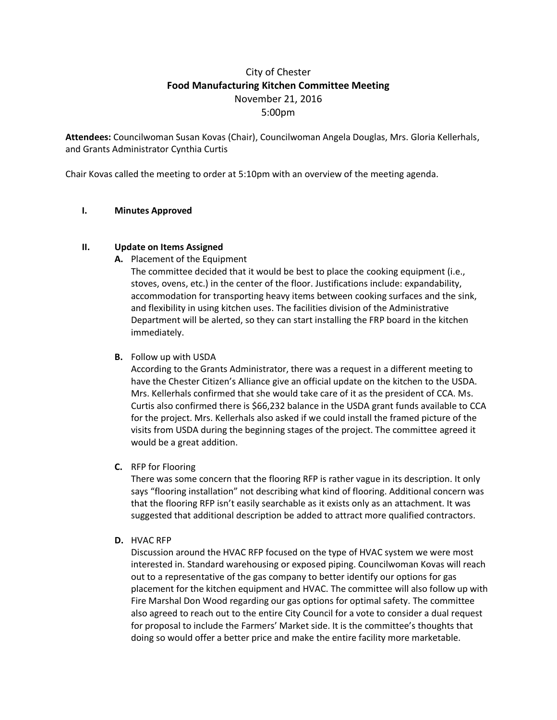## City of Chester **Food Manufacturing Kitchen Committee Meeting** November 21, 2016 5:00pm

**Attendees:** Councilwoman Susan Kovas (Chair), Councilwoman Angela Douglas, Mrs. Gloria Kellerhals, and Grants Administrator Cynthia Curtis

Chair Kovas called the meeting to order at 5:10pm with an overview of the meeting agenda.

## **I. Minutes Approved**

## **II. Update on Items Assigned**

**A.** Placement of the Equipment

The committee decided that it would be best to place the cooking equipment (i.e., stoves, ovens, etc.) in the center of the floor. Justifications include: expandability, accommodation for transporting heavy items between cooking surfaces and the sink, and flexibility in using kitchen uses. The facilities division of the Administrative Department will be alerted, so they can start installing the FRP board in the kitchen immediately.

**B.** Follow up with USDA

According to the Grants Administrator, there was a request in a different meeting to have the Chester Citizen's Alliance give an official update on the kitchen to the USDA. Mrs. Kellerhals confirmed that she would take care of it as the president of CCA. Ms. Curtis also confirmed there is \$66,232 balance in the USDA grant funds available to CCA for the project. Mrs. Kellerhals also asked if we could install the framed picture of the visits from USDA during the beginning stages of the project. The committee agreed it would be a great addition.

**C.** RFP for Flooring

There was some concern that the flooring RFP is rather vague in its description. It only says "flooring installation" not describing what kind of flooring. Additional concern was that the flooring RFP isn't easily searchable as it exists only as an attachment. It was suggested that additional description be added to attract more qualified contractors.

**D.** HVAC RFP

Discussion around the HVAC RFP focused on the type of HVAC system we were most interested in. Standard warehousing or exposed piping. Councilwoman Kovas will reach out to a representative of the gas company to better identify our options for gas placement for the kitchen equipment and HVAC. The committee will also follow up with Fire Marshal Don Wood regarding our gas options for optimal safety. The committee also agreed to reach out to the entire City Council for a vote to consider a dual request for proposal to include the Farmers' Market side. It is the committee's thoughts that doing so would offer a better price and make the entire facility more marketable.